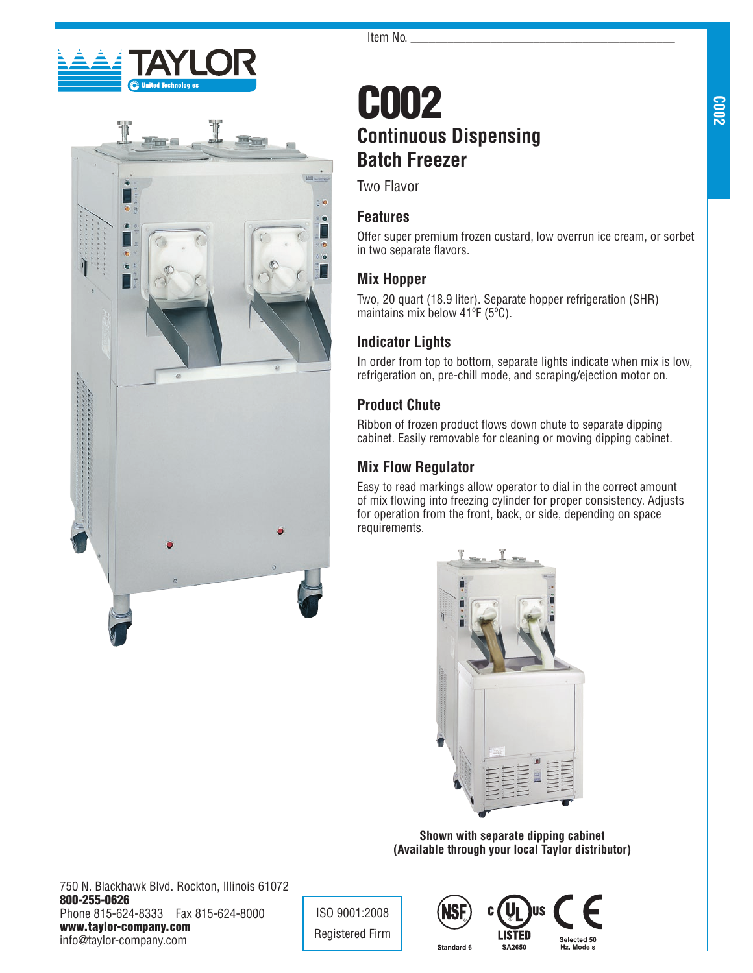



# C002 **Continuous Dispensing Batch Freezer**

Two Flavor

## **Features**

Offer super premium frozen custard, low overrun ice cream, or sorbet in two separate flavors.

## **Mix Hopper**

Two, 20 quart (18.9 liter). Separate hopper refrigeration (SHR) maintains mix below 41ºF (5ºC).

## **Indicator Lights**

In order from top to bottom, separate lights indicate when mix is low, refrigeration on, pre-chill mode, and scraping/ejection motor on.

## **Product Chute**

Ribbon of frozen product flows down chute to separate dipping cabinet. Easily removable for cleaning or moving dipping cabinet.

## **Mix Flow Regulator**

Easy to read markings allow operator to dial in the correct amount of mix flowing into freezing cylinder for proper consistency. Adjusts for operation from the front, back, or side, depending on space requirements.



**Shown with separate dipping cabinet (Available through your local Taylor distributor)**

SA2650

750 N. Blackhawk Blvd. Rockton, Illinois 61072 800-255-0626 Phone 815-624-8333 Fax 815-624-8000 www.taylor-company.com info@taylor-company.com

ISO 9001:2008 Registered Firm